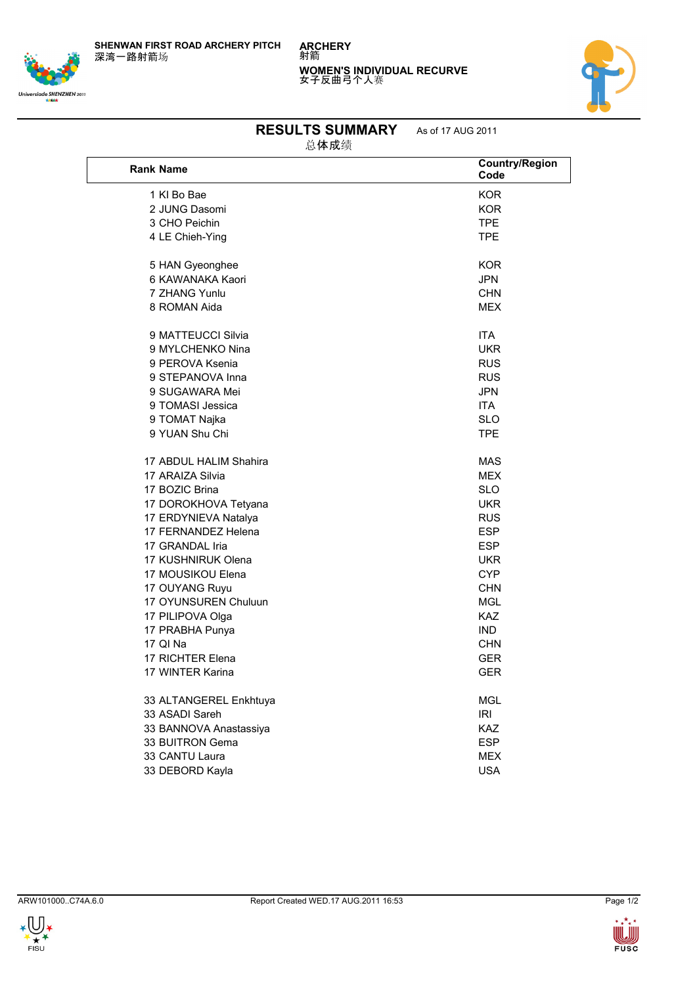**SHENWAN FIRST ROAD ARCHERY PITCH** 深湾一路射箭场

## Universiade SHENZHEN 2011



## **RESULTS SUMMARY** As of 17 AUG 2011

**WOMEN'S INDIVIDUAL RECURVE** 女子反曲弓个人赛

总体成绩

**ARCHERY** 射箭

| <b>Rank Name</b>       | <b>Country/Region</b><br>Code |
|------------------------|-------------------------------|
| 1 KI Bo Bae            | <b>KOR</b>                    |
| 2 JUNG Dasomi          | <b>KOR</b>                    |
| 3 CHO Peichin          | <b>TPE</b>                    |
| 4 LE Chieh-Ying        | <b>TPE</b>                    |
| 5 HAN Gyeonghee        | KOR                           |
| 6 KAWANAKA Kaori       | <b>JPN</b>                    |
| 7 7HANG Yunlu          | <b>CHN</b>                    |
| 8 ROMAN Aida           | <b>MEX</b>                    |
| 9 MATTEUCCI Silvia     | <b>ITA</b>                    |
| 9 MYLCHENKO Nina       | <b>UKR</b>                    |
| 9 PEROVA Ksenia        | <b>RUS</b>                    |
| 9 STEPANOVA Inna       | <b>RUS</b>                    |
| 9 SUGAWARA Mei         | <b>JPN</b>                    |
| 9 TOMASI Jessica       | <b>ITA</b>                    |
| 9 TOMAT Najka          | <b>SLO</b>                    |
| 9 YUAN Shu Chi         | <b>TPE</b>                    |
| 17 ABDUL HALIM Shahira | <b>MAS</b>                    |
| 17 ARAIZA Silvia       | <b>MEX</b>                    |
| 17 BOZIC Brina         | <b>SLO</b>                    |
| 17 DOROKHOVA Tetyana   | <b>UKR</b>                    |
| 17 ERDYNIEVA Natalya   | <b>RUS</b>                    |
| 17 FERNANDEZ Helena    | <b>ESP</b>                    |
| 17 GRANDAL Iria        | <b>ESP</b>                    |
| 17 KUSHNIRUK Olena     | <b>UKR</b>                    |
| 17 MOUSIKOU Elena      | <b>CYP</b>                    |
| 17 OUYANG Ruyu         | <b>CHN</b>                    |
| 17 OYUNSUREN Chuluun   | <b>MGL</b>                    |
| 17 PILIPOVA Olga       | <b>KAZ</b>                    |
| 17 PRABHA Punya        | <b>IND</b>                    |
| 17 QI Na               | <b>CHN</b>                    |
| 17 RICHTER Elena       | <b>GER</b>                    |
| 17 WINTER Karina       | <b>GER</b>                    |
| 33 ALTANGEREL Enkhtuya | <b>MGL</b>                    |
| 33 ASADI Sareh         | <b>IRI</b>                    |
| 33 BANNOVA Anastassiya | <b>KAZ</b>                    |
| 33 BUITRON Gema        | <b>ESP</b>                    |
| 33 CANTU Laura         | <b>MEX</b>                    |
| 33 DEBORD Kayla        | <b>USA</b>                    |

 $\bigcup_{\substack{\ast \\ \vdots \\ \substack{\scriptscriptstyle{\ast}\\ \scriptscriptstyle{\mathrm{FISU}}}}\mathbf{W}}$